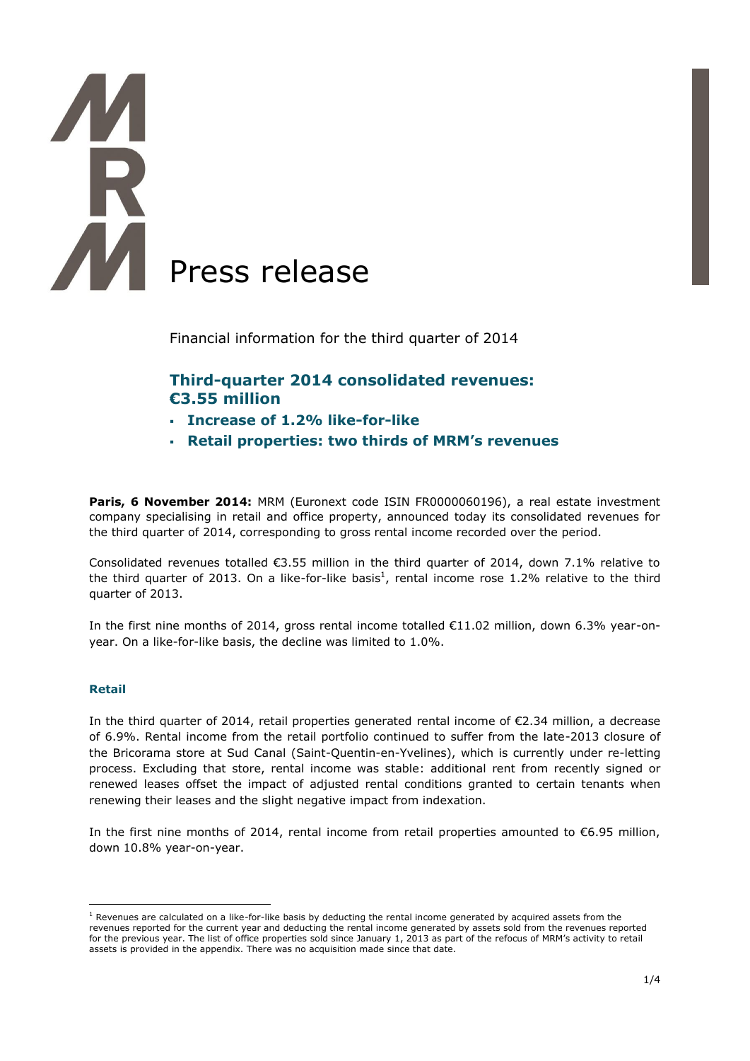# Press release

Financial information for the third quarter of 2014

# **Third-quarter 2014 consolidated revenues: €3.55 million**

- **Increase of 1.2% like-for-like**
- **Retail properties: two thirds of MRM's revenues**

Paris, 6 November 2014: MRM (Euronext code ISIN FR0000060196), a real estate investment company specialising in retail and office property, announced today its consolidated revenues for the third quarter of 2014, corresponding to gross rental income recorded over the period.

Consolidated revenues totalled €3.55 million in the third quarter of 2014, down 7.1% relative to the third quarter of 2013. On a like-for-like basis<sup>1</sup>, rental income rose 1.2% relative to the third quarter of 2013.

In the first nine months of 2014, gross rental income totalled €11.02 million, down 6.3% year-onyear. On a like-for-like basis, the decline was limited to 1.0%.

### **Retail**

1

In the third quarter of 2014, retail properties generated rental income of €2.34 million, a decrease of 6.9%. Rental income from the retail portfolio continued to suffer from the late-2013 closure of the Bricorama store at Sud Canal (Saint-Quentin-en-Yvelines), which is currently under re-letting process. Excluding that store, rental income was stable: additional rent from recently signed or renewed leases offset the impact of adjusted rental conditions granted to certain tenants when renewing their leases and the slight negative impact from indexation.

In the first nine months of 2014, rental income from retail properties amounted to €6.95 million, down 10.8% year-on-year.

 $1$  Revenues are calculated on a like-for-like basis by deducting the rental income generated by acquired assets from the revenues reported for the current year and deducting the rental income generated by assets sold from the revenues reported for the previous year. The list of office properties sold since January 1, 2013 as part of the refocus of MRM's activity to retail assets is provided in the appendix. There was no acquisition made since that date.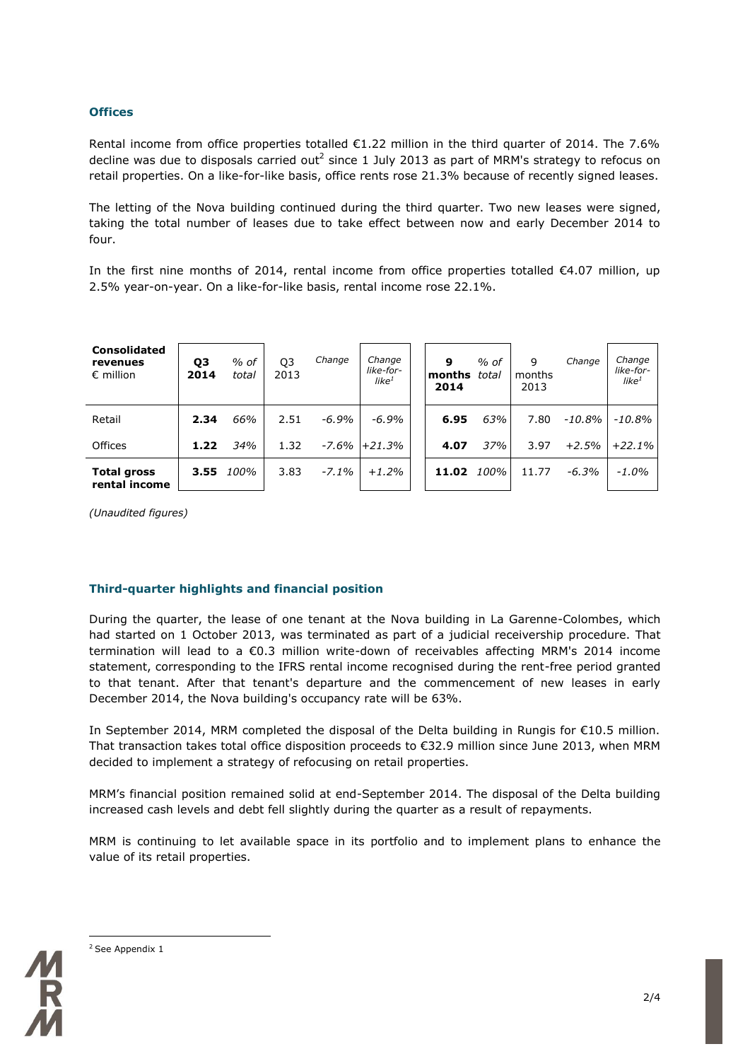### **Offices**

Rental income from office properties totalled  $E1.22$  million in the third quarter of 2014. The 7.6% decline was due to disposals carried out<sup>2</sup> since 1 July 2013 as part of MRM's strategy to refocus on retail properties. On a like-for-like basis, office rents rose 21.3% because of recently signed leases.

The letting of the Nova building continued during the third quarter. Two new leases were signed, taking the total number of leases due to take effect between now and early December 2014 to four.

In the first nine months of 2014, rental income from office properties totalled €4.07 million, up 2.5% year-on-year. On a like-for-like basis, rental income rose 22.1%.

| <b>Consolidated</b><br>revenues<br>$\epsilon$ million | Q3<br>2014 | $%$ of<br>total | Q <sub>3</sub><br>2013 | Change   | Change<br>like-for-<br>like $^1$ | 9<br>months<br>2014 | $%$ of<br>total | 9<br>months<br>2013 | Change  | Change<br>like-for-<br>like $^1$ |
|-------------------------------------------------------|------------|-----------------|------------------------|----------|----------------------------------|---------------------|-----------------|---------------------|---------|----------------------------------|
| Retail                                                | 2.34       | 66%             | 2.51                   | $-6.9\%$ | $-6.9\%$                         | 6.95                | 63%             | 7.80                | -10.8%  | -10.8%                           |
| Offices                                               | 1.22       | 34%             | 1.32                   | -7.6%    | $+21.3%$                         | 4.07                | 37%             | 3.97                | $+2.5%$ | $+22.1%$                         |
| <b>Total gross</b><br>rental income                   | 3.55       | 100%            | 3.83                   | $-7.1\%$ | $+1.2%$                          | 11.02               | 100% l          | 11.77               | $-6.3%$ | $-1.0\%$                         |

*(Unaudited figures)*

### **Third-quarter highlights and financial position**

During the quarter, the lease of one tenant at the Nova building in La Garenne-Colombes, which had started on 1 October 2013, was terminated as part of a judicial receivership procedure. That termination will lead to a €0.3 million write-down of receivables affecting MRM's 2014 income statement, corresponding to the IFRS rental income recognised during the rent-free period granted to that tenant. After that tenant's departure and the commencement of new leases in early December 2014, the Nova building's occupancy rate will be 63%.

In September 2014, MRM completed the disposal of the Delta building in Rungis for €10.5 million. That transaction takes total office disposition proceeds to €32.9 million since June 2013, when MRM decided to implement a strategy of refocusing on retail properties.

MRM's financial position remained solid at end-September 2014. The disposal of the Delta building increased cash levels and debt fell slightly during the quarter as a result of repayments.

MRM is continuing to let available space in its portfolio and to implement plans to enhance the value of its retail properties.



```
<u>.</u>
2 See Appendix 1
```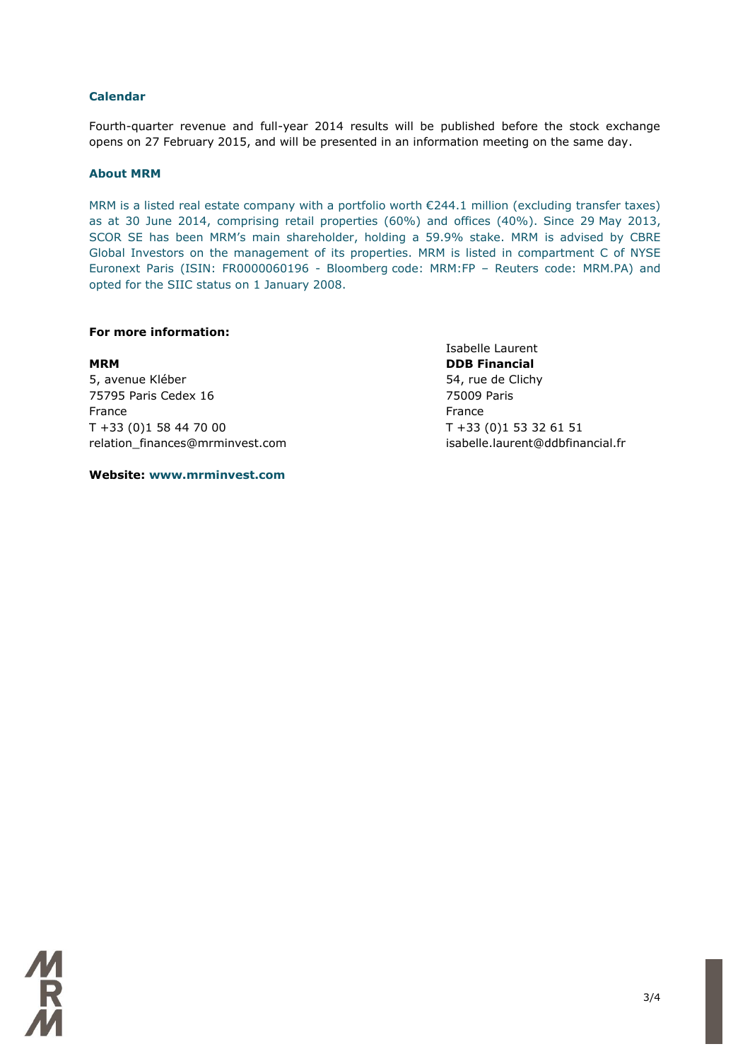### **Calendar**

Fourth-quarter revenue and full-year 2014 results will be published before the stock exchange opens on 27 February 2015, and will be presented in an information meeting on the same day.

### **About MRM**

MRM is a listed real estate company with a portfolio worth €244.1 million (excluding transfer taxes) as at 30 June 2014, comprising retail properties (60%) and offices (40%). Since 29 May 2013, SCOR SE has been MRM's main shareholder, holding a 59.9% stake. MRM is advised by CBRE Global Investors on the management of its properties. MRM is listed in compartment C of NYSE Euronext Paris (ISIN: FR0000060196 - Bloomberg code: MRM:FP – Reuters code: MRM.PA) and opted for the SIIC status on 1 January 2008.

### **For more information:**

**MRM DDB Financial** 5, avenue Kléber 65, avenue Kléber 1999, avenue Kléber 1999, avenue Clichy 75795 Paris Cedex 16 75009 Paris France **France France France** T +33 (0)1 58 44 70 00 T +33 (0)1 53 32 61 51 relation\_finances@mrminvest.com isabelle.laurent@ddbfinancial.fr

**Website: www.mrminvest.com**

Isabelle Laurent